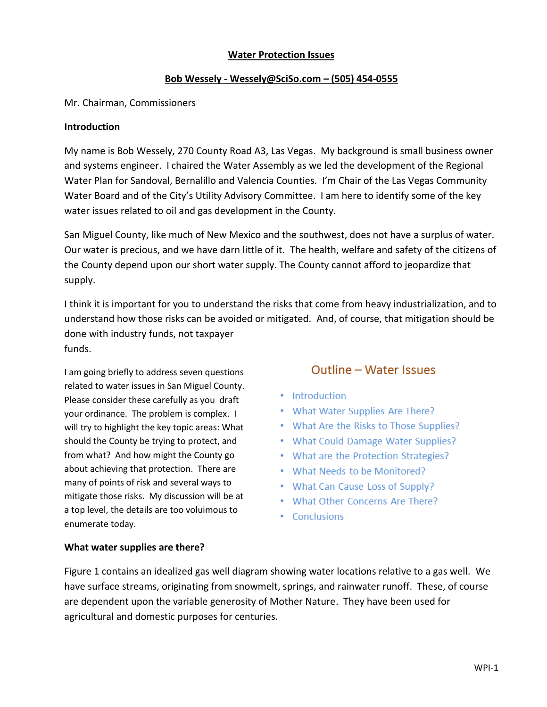#### **Water Protection Issues**

#### **Bob Wessely - Wessely@SciSo.com – (505) 454-0555**

#### Mr. Chairman, Commissioners

#### **Introduction**

My name is Bob Wessely, 270 County Road A3, Las Vegas. My background is small business owner and systems engineer. I chaired the Water Assembly as we led the development of the Regional Water Plan for Sandoval, Bernalillo and Valencia Counties. I'm Chair of the Las Vegas Community Water Board and of the City's Utility Advisory Committee. I am here to identify some of the key water issues related to oil and gas development in the County.

San Miguel County, like much of New Mexico and the southwest, does not have a surplus of water. Our water is precious, and we have darn little of it. The health, welfare and safety of the citizens of the County depend upon our short water supply. The County cannot afford to jeopardize that supply.

I think it is important for you to understand the risks that come from heavy industrialization, and to understand how those risks can be avoided or mitigated. And, of course, that mitigation should be done with industry funds, not taxpayer funds.

I am going briefly to address seven questions related to water issues in San Miguel County. Please consider these carefully as you draft your ordinance. The problem is complex. I will try to highlight the key topic areas: What should the County be trying to protect, and from what? And how might the County go about achieving that protection. There are many of points of risk and several ways to mitigate those risks. My discussion will be at a top level, the details are too voluimous to enumerate today.

# Outline - Water Issues

- Introduction
- What Water Supplies Are There?
- What Are the Risks to Those Supplies?
- What Could Damage Water Supplies?
- What are the Protection Strategies?
- . What Needs to be Monitored?
- What Can Cause Loss of Supply?
- What Other Concerns Are There?
- Conclusions

#### **What water supplies are there?**

Figure 1 contains an idealized gas well diagram showing water locations relative to a gas well. We have surface streams, originating from snowmelt, springs, and rainwater runoff. These, of course are dependent upon the variable generosity of Mother Nature. They have been used for agricultural and domestic purposes for centuries.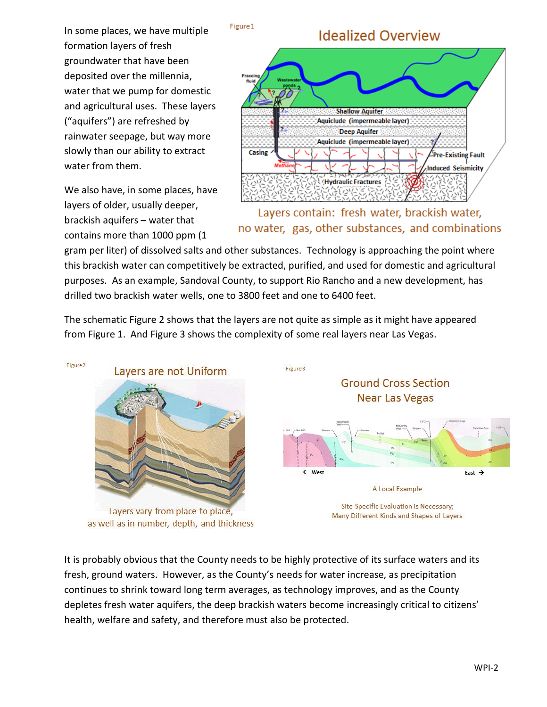In some places, we have multiple formation layers of fresh groundwater that have been deposited over the millennia, water that we pump for domestic and agricultural uses. These layers ("aquifers") are refreshed by rainwater seepage, but way more slowly than our ability to extract water from them.

We also have, in some places, have layers of older, usually deeper, brackish aquifers – water that contains more than 1000 ppm (1

# **Idealized Overview**



Layers contain: fresh water, brackish water, no water, gas, other substances, and combinations

gram per liter) of dissolved salts and other substances. Technology is approaching the point where this brackish water can competitively be extracted, purified, and used for domestic and agricultural purposes. As an example, Sandoval County, to support Rio Rancho and a new development, has drilled two brackish water wells, one to 3800 feet and one to 6400 feet.

Figure 1

The schematic Figure 2 shows that the layers are not quite as simple as it might have appeared from Figure 1. And Figure 3 shows the complexity of some real layers near Las Vegas.



as well as in number, depth, and thickness

It is probably obvious that the County needs to be highly protective of its surface waters and its fresh, ground waters. However, as the County's needs for water increase, as precipitation continues to shrink toward long term averages, as technology improves, and as the County depletes fresh water aquifers, the deep brackish waters become increasingly critical to citizens' health, welfare and safety, and therefore must also be protected.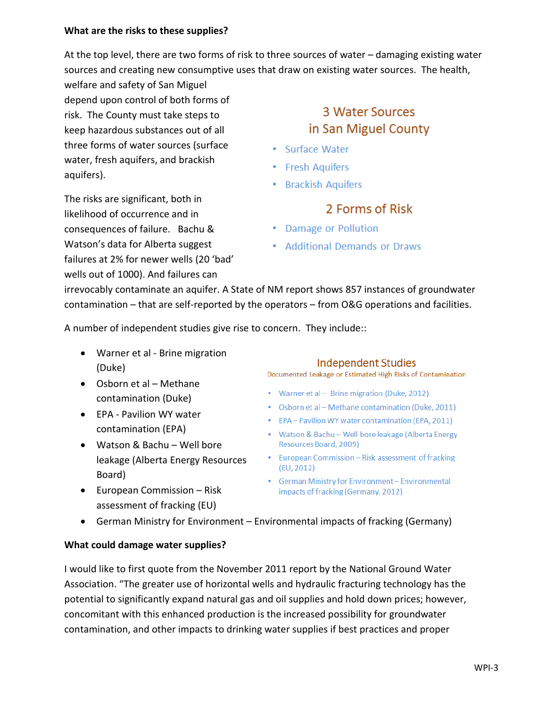#### **What are the risks to these supplies?**

At the top level, there are two forms of risk to three sources of water – damaging existing water sources and creating new consumptive uses that draw on existing water sources. The health,

welfare and safety of San Miguel depend upon control of both forms of risk. The County must take steps to keep hazardous substances out of all three forms of water sources (surface water, fresh aquifers, and brackish aquifers).

The risks are significant, both in likelihood of occurrence and in consequences of failure. Bachu & Watson's data for Alberta suggest

3 Water Sources in San Miguel County

- · Surface Water
- Fresh Aquifers
- Brackish Aquifers

# 2 Forms of Risk

- Damage or Pollution
- Additional Demands or Draws

irrevocably contaminate an aquifer. A State of NM report shows 857 instances of groundwater contamination – that are self-reported by the operators – from O&G operations and facilities.

A number of independent studies give rise to concern. They include::

 Warner et al - Brine migration (Duke)

failures at 2% for newer wells (20 'bad' wells out of 1000). And failures can

- Osborn et al Methane contamination (Duke)
- EPA Pavilion WY water contamination (EPA)
- Watson & Bachu Well bore leakage (Alberta Energy Resources Board)
- European Commission Risk assessment of fracking (EU)

# **Independent Studies**

Documented Leakage or Estimated High Risks of Contamination

- Warner et al Brine migration (Duke, 2012)
- Osborn et al Methane contamination (Duke, 2011)
- EPA Pavilion WY water contamination (EPA, 2011)
- Watson & Bachu Well bore leakage (Alberta Energy Resources Board, 2009)
- European Commission Risk assessment of fracking  $(EU, 2012)$
- German Ministry for Environment Environmental impacts of fracking (Germany, 2012)
- German Ministry for Environment Environmental impacts of fracking (Germany)

#### **What could damage water supplies?**

I would like to first quote from the November 2011 report by the National Ground Water Association. "The greater use of horizontal wells and hydraulic fracturing technology has the potential to significantly expand natural gas and oil supplies and hold down prices; however, concomitant with this enhanced production is the increased possibility for groundwater contamination, and other impacts to drinking water supplies if best practices and proper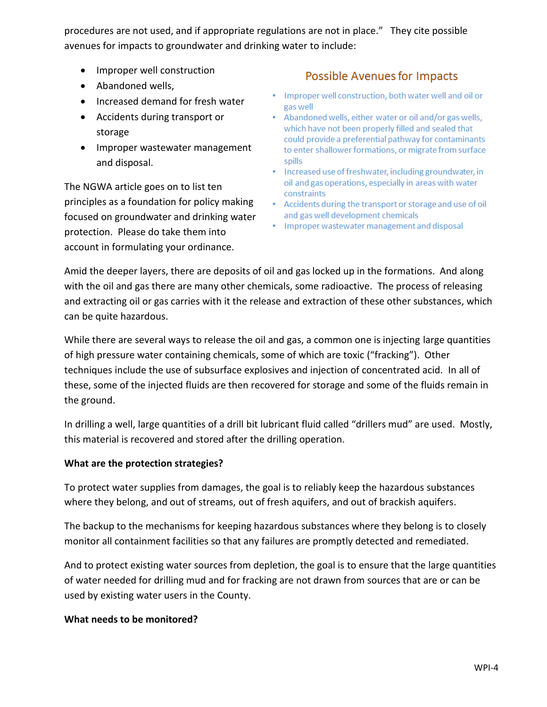procedures are not used, and if appropriate regulations are not in place." They cite possible avenues for impacts to groundwater and drinking water to include:

- Improper well construction
- Abandoned wells,
- Increased demand for fresh water
- Accidents during transport or storage
- Improper wastewater management and disposal.

The NGWA article goes on to list ten principles as a foundation for policy making focused on groundwater and drinking water protection. Please do take them into account in formulating your ordinance.

# **Possible Avenues for Impacts**

- . Improper well construction, both water well and oil or gas well
- Abandoned wells, either water or oil and/or gas wells, which have not been properly filled and sealed that could provide a preferential pathway for contaminants to enter shallower formations, or migrate from surface spills
- Increased use of freshwater, including groundwater, in oil and gas operations, especially in areas with water constraints
- Accidents during the transport or storage and use of oil and gas well development chemicals
- Improper wastewater management and disposal

Amid the deeper layers, there are deposits of oil and gas locked up in the formations. And along with the oil and gas there are many other chemicals, some radioactive. The process of releasing and extracting oil or gas carries with it the release and extraction of these other substances, which can be quite hazardous.

While there are several ways to release the oil and gas, a common one is injecting large quantities of high pressure water containing chemicals, some of which are toxic ("fracking"). Other techniques include the use of subsurface explosives and injection of concentrated acid. In all of these, some of the injected fluids are then recovered for storage and some of the fluids remain in the ground.

In drilling a well, large quantities of a drill bit lubricant fluid called "drillers mud" are used. Mostly, this material is recovered and stored after the drilling operation.

# **What are the protection strategies?**

To protect water supplies from damages, the goal is to reliably keep the hazardous substances where they belong, and out of streams, out of fresh aquifers, and out of brackish aquifers.

The backup to the mechanisms for keeping hazardous substances where they belong is to closely monitor all containment facilities so that any failures are promptly detected and remediated.

And to protect existing water sources from depletion, the goal is to ensure that the large quantities of water needed for drilling mud and for fracking are not drawn from sources that are or can be used by existing water users in the County.

# **What needs to be monitored?**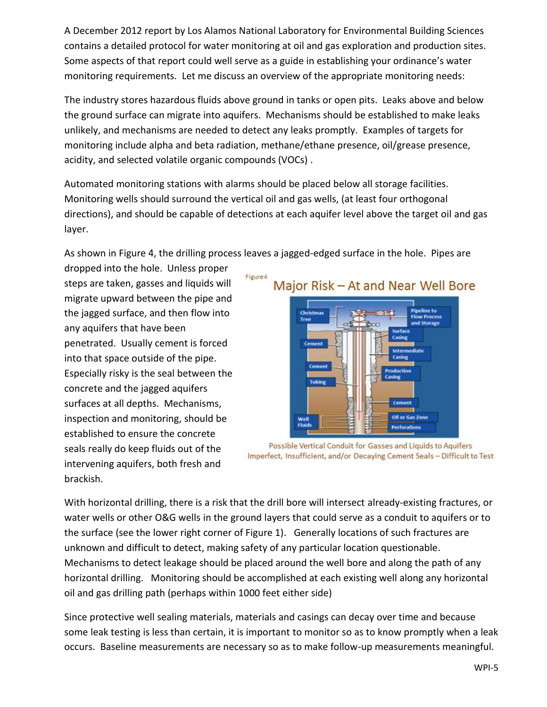A December 2012 report by Los Alamos National Laboratory for Environmental Building Sciences contains a detailed protocol for water monitoring at oil and gas exploration and production sites. Some aspects of that report could well serve as a guide in establishing your ordinance's water monitoring requirements. Let me discuss an overview of the appropriate monitoring needs:

The industry stores hazardous fluids above ground in tanks or open pits. Leaks above and below the ground surface can migrate into aquifers. Mechanisms should be established to make leaks unlikely, and mechanisms are needed to detect any leaks promptly. Examples of targets for monitoring include alpha and beta radiation, methane/ethane presence, oil/grease presence, acidity, and selected volatile organic compounds (VOCs) .

Automated monitoring stations with alarms should be placed below all storage facilities. Monitoring wells should surround the vertical oil and gas wells, (at least four orthogonal directions), and should be capable of detections at each aquifer level above the target oil and gas layer.

As shown in Figure 4, the drilling process leaves a jagged-edged surface in the hole. Pipes are

dropped into the hole. Unless proper steps are taken, gasses and liquids will migrate upward between the pipe and the jagged surface, and then flow into any aquifers that have been penetrated. Usually cement is forced into that space outside of the pipe. Especially risky is the seal between the concrete and the jagged aquifers surfaces at all depths. Mechanisms, inspection and monitoring, should be established to ensure the concrete seals really do keep fluids out of the intervening aquifers, both fresh and brackish.





Possible Vertical Conduit for Gasses and Liquids to Aquifers Imperfect, Insufficient, and/or Decaying Cement Seals - Difficult to Test

With horizontal drilling, there is a risk that the drill bore will intersect already-existing fractures, or water wells or other O&G wells in the ground layers that could serve as a conduit to aquifers or to the surface (see the lower right corner of Figure 1). Generally locations of such fractures are unknown and difficult to detect, making safety of any particular location questionable. Mechanisms to detect leakage should be placed around the well bore and along the path of any horizontal drilling. Monitoring should be accomplished at each existing well along any horizontal oil and gas drilling path (perhaps within 1000 feet either side)

Since protective well sealing materials, materials and casings can decay over time and because some leak testing is less than certain, it is important to monitor so as to know promptly when a leak occurs. Baseline measurements are necessary so as to make follow-up measurements meaningful.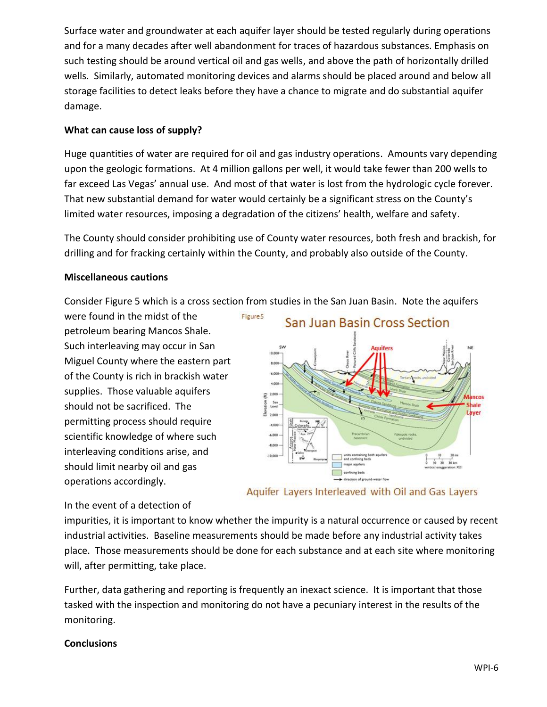Surface water and groundwater at each aquifer layer should be tested regularly during operations and for a many decades after well abandonment for traces of hazardous substances. Emphasis on such testing should be around vertical oil and gas wells, and above the path of horizontally drilled wells. Similarly, automated monitoring devices and alarms should be placed around and below all storage facilities to detect leaks before they have a chance to migrate and do substantial aquifer damage.

# **What can cause loss of supply?**

Huge quantities of water are required for oil and gas industry operations. Amounts vary depending upon the geologic formations. At 4 million gallons per well, it would take fewer than 200 wells to far exceed Las Vegas' annual use. And most of that water is lost from the hydrologic cycle forever. That new substantial demand for water would certainly be a significant stress on the County's limited water resources, imposing a degradation of the citizens' health, welfare and safety.

The County should consider prohibiting use of County water resources, both fresh and brackish, for drilling and for fracking certainly within the County, and probably also outside of the County.

# **Miscellaneous cautions**

Consider Figure 5 which is a cross section from studies in the San Juan Basin. Note the aquifers

Figure 5

were found in the midst of the petroleum bearing Mancos Shale. Such interleaving may occur in San Miguel County where the eastern part of the County is rich in brackish water supplies. Those valuable aquifers should not be sacrificed. The permitting process should require scientific knowledge of where such interleaving conditions arise, and should limit nearby oil and gas operations accordingly.



Aquifer Layers Interleaved with Oil and Gas Layers

# In the event of a detection of

impurities, it is important to know whether the impurity is a natural occurrence or caused by recent industrial activities. Baseline measurements should be made before any industrial activity takes place. Those measurements should be done for each substance and at each site where monitoring will, after permitting, take place.

Further, data gathering and reporting is frequently an inexact science. It is important that those tasked with the inspection and monitoring do not have a pecuniary interest in the results of the monitoring.

# **Conclusions**